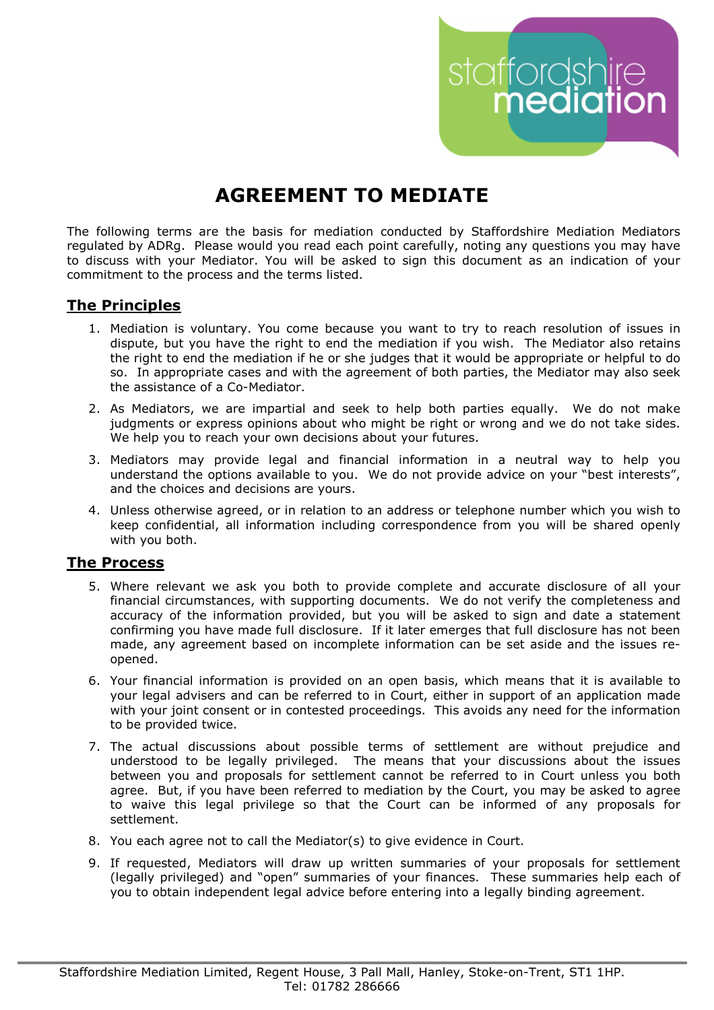# **AGREEMENT TO MEDIATE**

The following terms are the basis for mediation conducted by Staffordshire Mediation Mediators regulated by ADRg. Please would you read each point carefully, noting any questions you may have to discuss with your Mediator. You will be asked to sign this document as an indication of your commitment to the process and the terms listed.

staffordshire

## **The Principles**

- 1. Mediation is voluntary. You come because you want to try to reach resolution of issues in dispute, but you have the right to end the mediation if you wish. The Mediator also retains the right to end the mediation if he or she judges that it would be appropriate or helpful to do so. In appropriate cases and with the agreement of both parties, the Mediator may also seek the assistance of a Co-Mediator.
- 2. As Mediators, we are impartial and seek to help both parties equally. We do not make judgments or express opinions about who might be right or wrong and we do not take sides. We help you to reach your own decisions about your futures.
- 3. Mediators may provide legal and financial information in a neutral way to help you understand the options available to you. We do not provide advice on your "best interests", and the choices and decisions are yours.
- 4. Unless otherwise agreed, or in relation to an address or telephone number which you wish to keep confidential, all information including correspondence from you will be shared openly with you both.

## **The Process**

- 5. Where relevant we ask you both to provide complete and accurate disclosure of all your financial circumstances, with supporting documents. We do not verify the completeness and accuracy of the information provided, but you will be asked to sign and date a statement confirming you have made full disclosure. If it later emerges that full disclosure has not been made, any agreement based on incomplete information can be set aside and the issues reopened.
- 6. Your financial information is provided on an open basis, which means that it is available to your legal advisers and can be referred to in Court, either in support of an application made with your joint consent or in contested proceedings. This avoids any need for the information to be provided twice.
- 7. The actual discussions about possible terms of settlement are without prejudice and understood to be legally privileged. The means that your discussions about the issues between you and proposals for settlement cannot be referred to in Court unless you both agree. But, if you have been referred to mediation by the Court, you may be asked to agree to waive this legal privilege so that the Court can be informed of any proposals for settlement.
- 8. You each agree not to call the Mediator(s) to give evidence in Court.
- 9. If requested, Mediators will draw up written summaries of your proposals for settlement (legally privileged) and "open" summaries of your finances. These summaries help each of you to obtain independent legal advice before entering into a legally binding agreement.